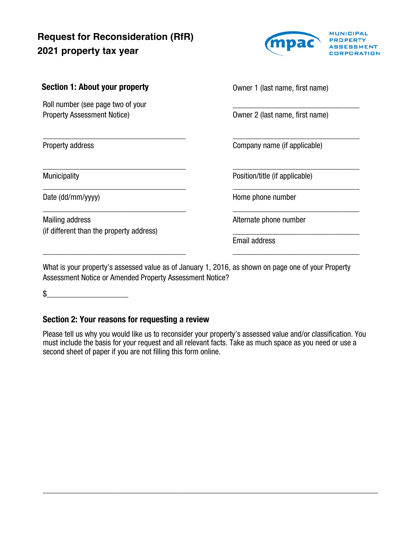# **Request for Reconsideration (RfR) 2021 property tax year**



| Section 1: About your property                                          | Owner 1 (last name, first name) |
|-------------------------------------------------------------------------|---------------------------------|
| Roll number (see page two of your<br><b>Property Assessment Notice)</b> | Owner 2 (last name, first name) |
| Property address                                                        | Company name (if applicable)    |
| <b>Municipality</b>                                                     | Position/title (if applicable)  |
| Date (dd/mm/yyyy)                                                       | Home phone number               |
| <b>Mailing address</b><br>(if different than the property address)      | Alternate phone number          |
|                                                                         | <b>Email address</b>            |
|                                                                         |                                 |

What is your property's assessed value as of January 1, 2016, as shown on page one of your Property Assessment Notice or Amended Property Assessment Notice?

 $\mathfrak s$ 

## Section 2: Your reasons for requesting a review

Please tell us why you would like us to reconsider your property's assessed value and/or classification. You must include the basis for your request and all relevant facts. Take as much space as you need or use a second sheet of paper if you are not filling this form online.

\_\_\_\_\_\_\_\_\_\_\_\_\_\_\_\_\_\_\_\_\_\_\_\_\_\_\_\_\_\_\_\_\_\_\_\_\_\_\_\_\_\_\_\_\_\_\_\_\_\_\_\_\_\_\_\_\_\_\_\_\_\_\_\_\_\_\_\_\_\_\_\_\_\_\_\_\_\_\_\_\_\_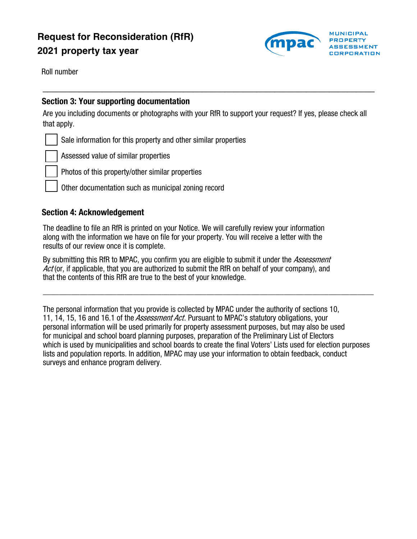# **Request for Reconsideration (RfR) 2021 property tax year**



Roll number

### Section 3: Your supporting documentation

Are you including documents or photographs with your RfR to support your request? If yes, please check all that apply.

 $\_$  , and the contribution of the contribution of  $\mathcal{L}_\mathcal{A}$  , and the contribution of  $\mathcal{L}_\mathcal{A}$ 

Sale information for this property and other similar properties

Assessed value of similar properties

Photos of this property/other similar properties

Other documentation such as municipal zoning record

#### Section 4: Acknowledgement

The deadline to file an RfR is printed on your Notice. We will carefully review your information along with the information we have on file for your property. You will receive a letter with the results of our review once it is complete.

By submitting this RfR to MPAC, you confirm you are eligible to submit it under the *Assessment* Act (or, if applicable, that you are authorized to submit the RfR on behalf of your company), and that the contents of this RfR are true to the best of your knowledge.

The personal information that you provide is collected by MPAC under the authority of sections 10, 11, 14, 15, 16 and 16.1 of the *Assessment Act*. Pursuant to MPAC's statutory obligations, your personal information will be used primarily for property assessment purposes, but may also be used for municipal and school board planning purposes, preparation of the Preliminary List of Electors which is used by municipalities and school boards to create the final Voters' Lists used for election purposes lists and population reports. In addition, MPAC may use your information to obtain feedback, conduct surveys and enhance program delivery.

\_\_\_\_\_\_\_\_\_\_\_\_\_\_\_\_\_\_\_\_\_\_\_\_\_\_\_\_\_\_\_\_\_\_\_\_\_\_\_\_\_\_\_\_\_\_\_\_\_\_\_\_\_\_\_\_\_\_\_\_\_\_\_\_\_\_\_\_\_\_\_\_\_\_\_\_\_\_\_\_\_